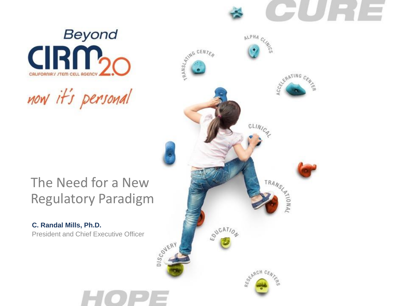el II e l'e



now it's personal

#### The Need for a New Regulatory Paradigm

President and Chief Executive Officer **C. Randal Mills, Ph.D.**

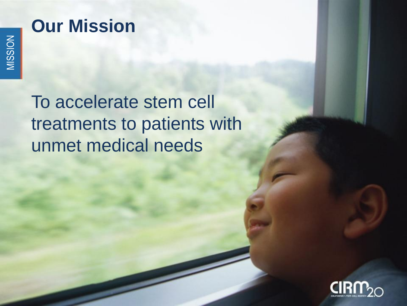## **Our Mission**

To accelerate stem cell treatments to patients with unmet medical needs

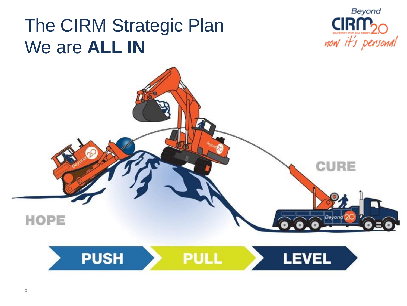# The CIRM Strategic Plan We are **ALL IN**



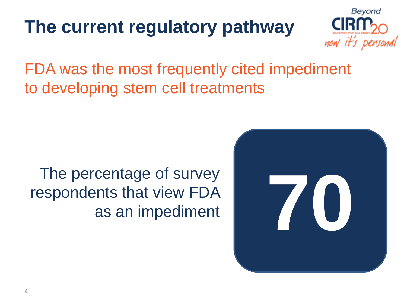# **The current regulatory pathway**



FDA was the most frequently cited impediment to developing stem cell treatments

## The percentage of survey respondents that view FDA ents that view FDA<br>as an impediment

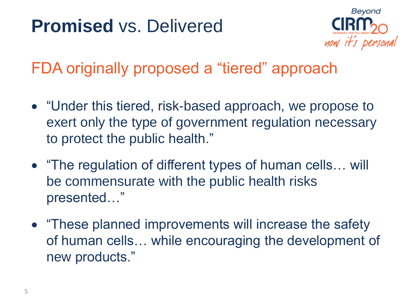# **Promised** vs. Delivered



FDA originally proposed a "tiered" approach

- "Under this tiered, risk-based approach, we propose to exert only the type of government regulation necessary to protect the public health."
- "The regulation of different types of human cells… will be commensurate with the public health risks presented…"
- "These planned improvements will increase the safety" of human cells… while encouraging the development of new products."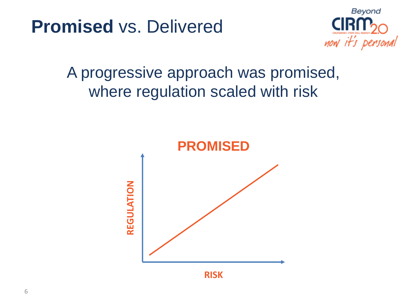



## A progressive approach was promised, where regulation scaled with risk

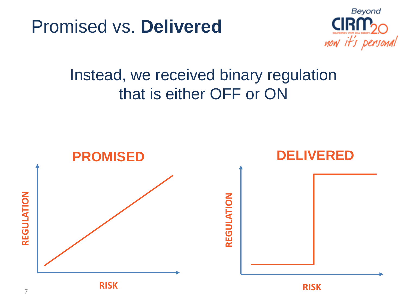Promised vs. **Delivered**



## Instead, we received binary regulation that is either OFF or ON

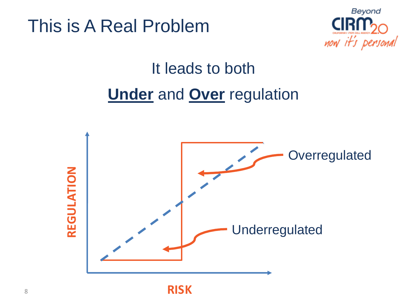This is A Real Problem



# It leads to both **Under** and **Over** regulation

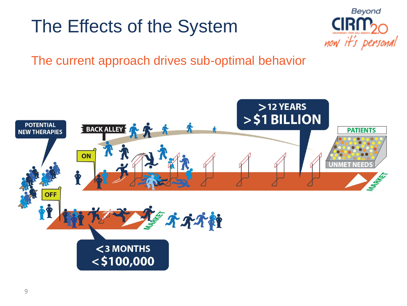# The Effects of the System



The current approach drives sub-optimal behavior

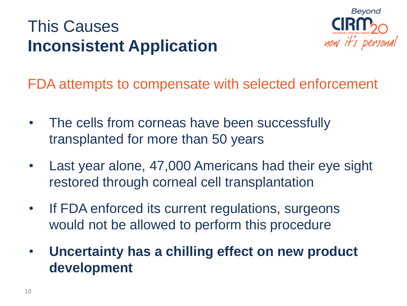## This Causes **Inconsistent Application**



FDA attempts to compensate with selected enforcement

- The cells from corneas have been successfully transplanted for more than 50 years
- Last year alone, 47,000 Americans had their eye sight restored through corneal cell transplantation
- If FDA enforced its current regulations, surgeons would not be allowed to perform this procedure
- **Uncertainty has a chilling effect on new product development**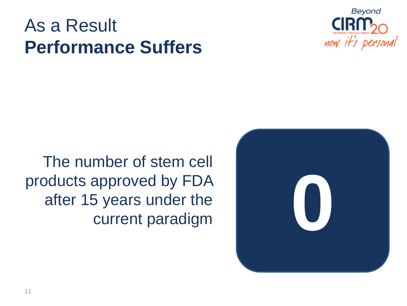# As a Result **Performance Suffers**





The number of stem cell products approved by FDA after 15 years under the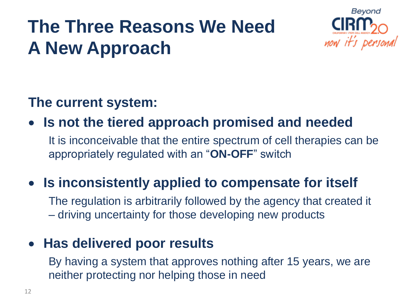# **The Three Reasons We Need A New Approach**



#### **The current system:**

**Is not the tiered approach promised and needed**

It is inconceivable that the entire spectrum of cell therapies can be appropriately regulated with an "**ON-OFF**" switch

### **Is inconsistently applied to compensate for itself**

The regulation is arbitrarily followed by the agency that created it – driving uncertainty for those developing new products

#### **Has delivered poor results**

By having a system that approves nothing after 15 years, we are neither protecting nor helping those in need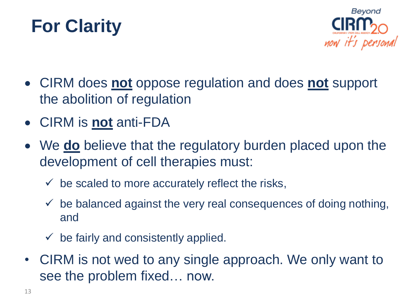



- CIRM does **not** oppose regulation and does **not** support the abolition of regulation
- CIRM is **not** anti-FDA
- We **do** believe that the regulatory burden placed upon the development of cell therapies must:
	- $\checkmark$  be scaled to more accurately reflect the risks,
	- $\checkmark$  be balanced against the very real consequences of doing nothing, and
	- $\checkmark$  be fairly and consistently applied.
- CIRM is not wed to any single approach. We only want to see the problem fixed… now.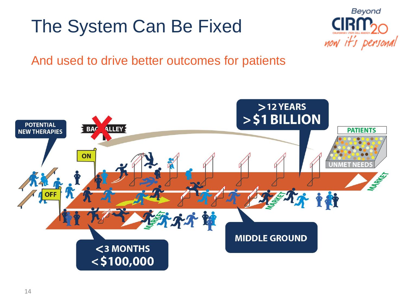# The System Can Be Fixed



#### And used to drive better outcomes for patients